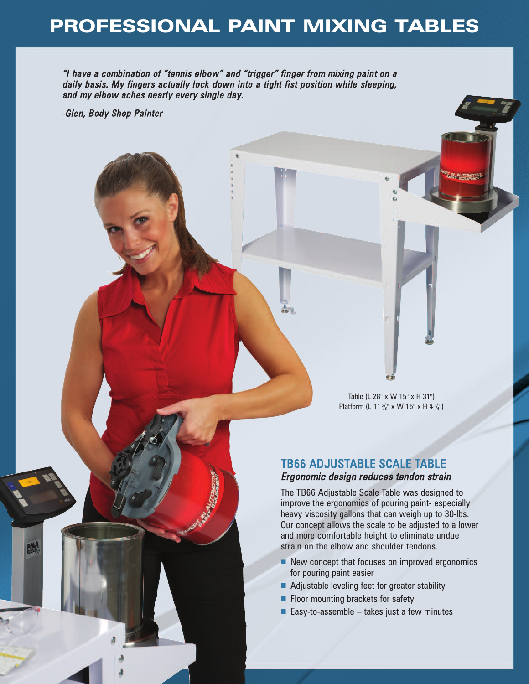## **PROFESSIONAL PAINT MIXING TABLES**

"I have a combination of "tennis elbow" and "trigger" finger from mixing paint on a daily basis. My fingers actually lock down into a tight fist position while sleeping, and my elbow aches nearly every single day.

-Glen, Body Shop Painter

Table (L 28" x W 15" x H 31") Platform (L 11%" x W 15" x H 41/4")

### TB66 ADJUSTABLE SCALE TABLE Ergonomic design reduces tendon strain

The TB66 Adjustable Scale Table was designed to improve the ergonomics of pouring paint- especially heavy viscosity gallons that can weigh up to 30-lbs. Our concept allows the scale to be adjusted to a lower and more comfortable height to eliminate undue strain on the elbow and shoulder tendons.

- New concept that focuses on improved ergonomics for pouring paint easier
- Adjustable leveling feet for greater stability
- Floor mounting brackets for safety
- Easy-to-assemble  $-$  takes just a few minutes